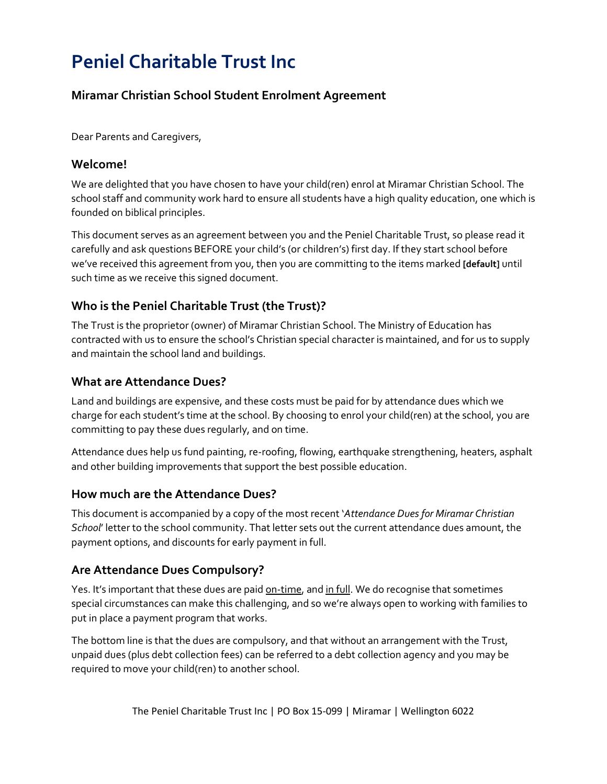# **Peniel Charitable Trust Inc**

# **Miramar Christian School Student Enrolment Agreement**

Dear Parents and Caregivers,

## **Welcome!**

We are delighted that you have chosen to have your child(ren) enrol at Miramar Christian School. The school staff and community work hard to ensure all students have a high quality education, one which is founded on biblical principles.

This document serves as an agreement between you and the Peniel Charitable Trust, so please read it carefully and ask questions BEFORE your child's (or children's) first day. If they start school before we've received this agreement from you, then you are committing to the items marked **[default]** until such time as we receive this signed document.

## **Who is the Peniel Charitable Trust (the Trust)?**

The Trust is the proprietor (owner) of Miramar Christian School. The Ministry of Education has contracted with us to ensure the school's Christian special character is maintained, and for us to supply and maintain the school land and buildings.

## **What are Attendance Dues?**

Land and buildings are expensive, and these costs must be paid for by attendance dues which we charge for each student's time at the school. By choosing to enrol your child(ren) at the school, you are committing to pay these dues regularly, and on time.

Attendance dues help us fund painting, re-roofing, flowing, earthquake strengthening, heaters, asphalt and other building improvements that support the best possible education.

## **How much are the Attendance Dues?**

This document is accompanied by a copy of the most recent '*Attendance Dues for Miramar Christian School*' letter to the school community. That letter sets out the current attendance dues amount, the payment options, and discounts for early payment in full.

## **Are Attendance Dues Compulsory?**

Yes. It's important that these dues are paid **on-time**, and in full. We do recognise that sometimes special circumstances can make this challenging, and so we're always open to working with families to put in place a payment program that works.

The bottom line is that the dues are compulsory, and that without an arrangement with the Trust, unpaid dues (plus debt collection fees) can be referred to a debt collection agency and you may be required to move your child(ren) to another school.